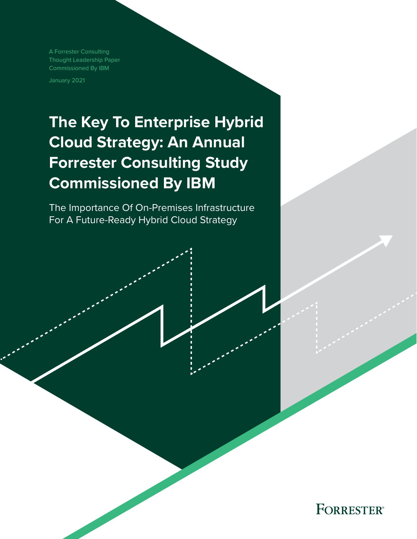A Forrester Consulting Thought Leadership Paper Commissioned By IBM

January 2021

# **The Key To Enterprise Hybrid Cloud Strategy: An Annual Forrester Consulting Study Commissioned By IBM**

The Importance Of On-Premises Infrastructure For A Future-Ready Hybrid Cloud Strategy

**FORRESTER®**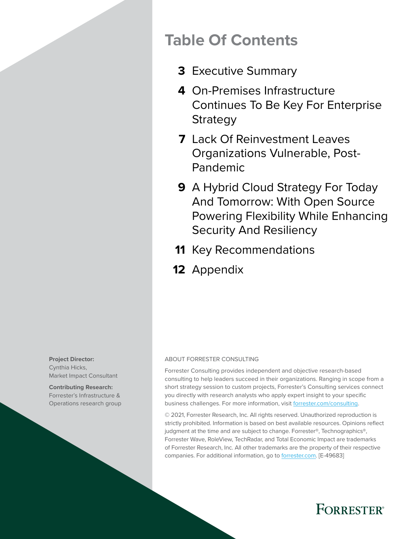## **Table Of Contents**

- [Executive Summary](#page-2-0) **3**
- [On-Premises Infrastructure](#page-3-0)  **4** [Continues To Be Key For Enterprise](#page-3-0)  [Strategy](#page-3-0)
- [Lack Of Reinvestment Leaves](#page-6-0)  **7** [Organizations Vulnerable, Post-](#page-6-0)[Pandemic](#page-6-0)
- [A Hybrid Cloud Strategy For Today](#page-8-0)  **9** [And Tomorrow: With Open Source](#page-8-0)  [Powering Flexibility While Enhancing](#page-8-0)  [Security And Resiliency](#page-8-0)
- 11 [Key Recommendations](#page-10-0)
- 12 [Appendix](#page-11-0)

**Project Director:**  Cynthia Hicks, Market Impact Consultant

**Contributing Research:**  Forrester's Infrastructure & Operations research group

#### ABOUT FORRESTER CONSULTING

Forrester Consulting provides independent and objective research-based consulting to help leaders succeed in their organizations. Ranging in scope from a short strategy session to custom projects, Forrester's Consulting services connect you directly with research analysts who apply expert insight to your specific business challenges. For more information, visit [forrester.com/consulting.](https://go.forrester.com/consulting/)

© 2021, Forrester Research, Inc. All rights reserved. Unauthorized reproduction is strictly prohibited. Information is based on best available resources. Opinions reflect judgment at the time and are subject to change. Forrester®, Technographics®, Forrester Wave, RoleView, TechRadar, and Total Economic Impact are trademarks of Forrester Research, Inc. All other trademarks are the property of their respective companies. For additional information, go to [forrester.com.](https://www.forrester.com/home/) [E-49683]

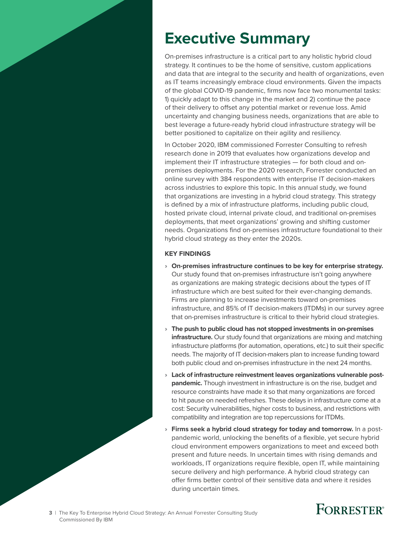# <span id="page-2-0"></span>**Executive Summary**

On-premises infrastructure is a critical part to any holistic hybrid cloud strategy. It continues to be the home of sensitive, custom applications and data that are integral to the security and health of organizations, even as IT teams increasingly embrace cloud environments. Given the impacts of the global COVID-19 pandemic, firms now face two monumental tasks: 1) quickly adapt to this change in the market and 2) continue the pace of their delivery to offset any potential market or revenue loss. Amid uncertainty and changing business needs, organizations that are able to best leverage a future-ready hybrid cloud infrastructure strategy will be better positioned to capitalize on their agility and resiliency.

In October 2020, IBM commissioned Forrester Consulting to refresh research done in 2019 that evaluates how organizations develop and implement their IT infrastructure strategies — for both cloud and onpremises deployments. For the 2020 research, Forrester conducted an online survey with 384 respondents with enterprise IT decision-makers across industries to explore this topic. In this annual study, we found that organizations are investing in a hybrid cloud strategy. This strategy is defined by a mix of infrastructure platforms, including public cloud, hosted private cloud, internal private cloud, and traditional on-premises deployments, that meet organizations' growing and shifting customer needs. Organizations find on-premises infrastructure foundational to their hybrid cloud strategy as they enter the 2020s.

#### **KEY FINDINGS**

- › **On-premises infrastructure continues to be key for enterprise strategy.** Our study found that on-premises infrastructure isn't going anywhere as organizations are making strategic decisions about the types of IT infrastructure which are best suited for their ever-changing demands. Firms are planning to increase investments toward on-premises infrastructure, and 85% of IT decision-makers (ITDMs) in our survey agree that on-premises infrastructure is critical to their hybrid cloud strategies.
- › **The push to public cloud has not stopped investments in on-premises infrastructure.** Our study found that organizations are mixing and matching infrastructure platforms (for automation, operations, etc.) to suit their specific needs. The majority of IT decision-makers plan to increase funding toward both public cloud and on-premises infrastructure in the next 24 months.
- › **Lack of infrastructure reinvestment leaves organizations vulnerable postpandemic.** Though investment in infrastructure is on the rise, budget and resource constraints have made it so that many organizations are forced to hit pause on needed refreshes. These delays in infrastructure come at a cost: Security vulnerabilities, higher costs to business, and restrictions with compatibility and integration are top repercussions for ITDMs.
- **Firms seek a hybrid cloud strategy for today and tomorrow.** In a postpandemic world, unlocking the benefits of a flexible, yet secure hybrid cloud environment empowers organizations to meet and exceed both present and future needs. In uncertain times with rising demands and workloads, IT organizations require flexible, open IT, while maintaining secure delivery and high performance. A hybrid cloud strategy can offer firms better control of their sensitive data and where it resides during uncertain times.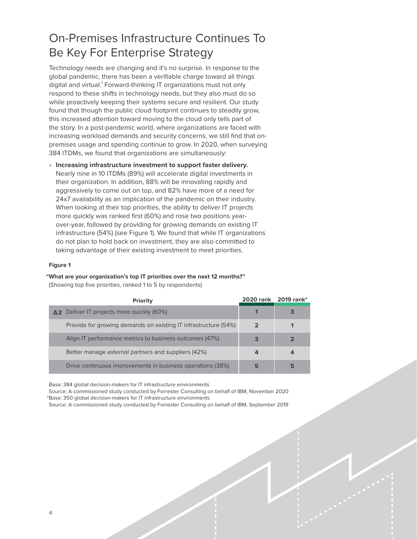## <span id="page-3-0"></span>On-Premises Infrastructure Continues To Be Key For Enterprise Strategy

Technology needs are changing and it's no surprise. In response to the global pandemic, there has been a verifiable charge toward all things digital and virtual.<sup>1</sup> Forward-thinking IT organizations must not only respond to these shifts in technology needs, but they also must do so while proactively keeping their systems secure and resilient. Our study found that though the public cloud footprint continues to steadily grow, this increased attention toward moving to the cloud only tells part of the story. In a post-pandemic world, where organizations are faced with increasing workload demands and security concerns, we still find that onpremises usage and spending continue to grow. In 2020, when surveying 384 ITDMs, we found that organizations are simultaneously:

› **Increasing infrastructure investment to support faster delivery.** Nearly nine in 10 ITDMs (89%) will accelerate digital investments in their organization. In addition, 88% will be innovating rapidly and aggressively to come out on top, and 82% have more of a need for 24x7 availability as an implication of the pandemic on their industry. When looking at their top priorities, the ability to deliver IT projects more quickly was ranked first (60%) and rose two positions yearover-year, followed by providing for growing demands on existing IT infrastructure (54%) (see Figure 1). We found that while IT organizations do not plan to hold back on investment, they are also committed to taking advantage of their existing investment to meet priorities.

#### **Figure 1**

**"What are your organization's top IT priorities over the next 12 months?"** (Showing top five priorities, ranked 1 to 5 by respondents)

| Priority                                                        |   | 2020 rank 2019 rank* |
|-----------------------------------------------------------------|---|----------------------|
| $\Delta$ 2 Deliver IT projects more quickly (60%)               |   |                      |
| Provide for growing demands on existing IT infrastructure (54%) |   |                      |
| Align IT performance metrics to business outcomes (47%)         | 3 |                      |
| Better manage external partners and suppliers (42%)             | 4 | 4                    |
| Drive continuous improvements in business operations (38%)      | 5 | 5                    |

Base: 384 global decision-makers for IT infrastructure environments

Source: A commissioned study conducted by Forrester Consulting on behalf of IBM, November 2020 \*Base: 350 global decision-makers for IT infrastructure environments

Source: A commissioned study conducted by Forrester Consulting on behalf of IBM, September 2019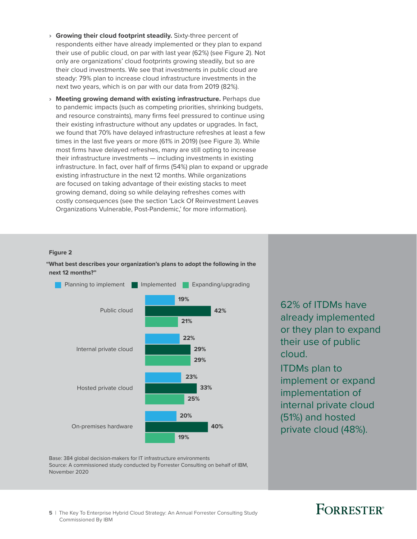- › **Growing their cloud footprint steadily.** Sixty-three percent of respondents either have already implemented or they plan to expand their use of public cloud, on par with last year (62%) (see Figure 2). Not only are organizations' cloud footprints growing steadily, but so are their cloud investments. We see that investments in public cloud are steady: 79% plan to increase cloud infrastructure investments in the next two years, which is on par with our data from 2019 (82%).
- › **Meeting growing demand with existing infrastructure.** Perhaps due to pandemic impacts (such as competing priorities, shrinking budgets, and resource constraints), many firms feel pressured to continue using their existing infrastructure without any updates or upgrades. In fact, we found that 70% have delayed infrastructure refreshes at least a few times in the last five years or more (61% in 2019) (see Figure 3). While most firms have delayed refreshes, many are still opting to increase their infrastructure investments — including investments in existing infrastructure. In fact, over half of firms (54%) plan to expand or upgrade existing infrastructure in the next 12 months. While organizations are focused on taking advantage of their existing stacks to meet growing demand, doing so while delaying refreshes comes with costly consequences (see the section 'Lack Of Reinvestment Leaves Organizations Vulnerable, Post-Pandemic,' for more information).

#### **Figure 2**

**"What best describes your organization's plans to adopt the following in the next 12 months?"**



62% of ITDMs have already implemented or they plan to expand their use of public cloud.

ITDMs plan to implement or expand implementation of internal private cloud (51%) and hosted private cloud (48%).

Base: 384 global decision-makers for IT infrastructure environments Source: A commissioned study conducted by Forrester Consulting on behalf of IBM, November 2020

## **FORRESTER**

**5** | The Key To Enterprise Hybrid Cloud Strategy: An Annual Forrester Consulting Study Commissioned By IBM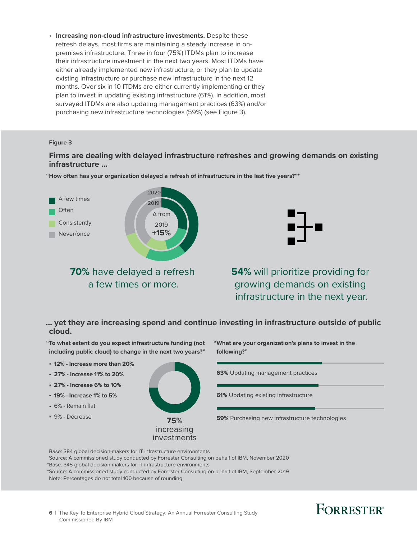› **Increasing non-cloud infrastructure investments.** Despite these refresh delays, most firms are maintaining a steady increase in onpremises infrastructure. Three in four (75%) ITDMs plan to increase their infrastructure investment in the next two years. Most ITDMs have either already implemented new infrastructure, or they plan to update existing infrastructure or purchase new infrastructure in the next 12 months. Over six in 10 ITDMs are either currently implementing or they plan to invest in updating existing infrastructure (61%). In addition, most surveyed ITDMs are also updating management practices (63%) and/or purchasing new infrastructure technologies (59%) (see Figure 3).

#### **Figure 3**

### **Firms are dealing with delayed infrastructure refreshes and growing demands on existing infrastructure …**



**"How often has your organization delayed a refresh of infrastructure in the last five years?"\***



**54%** will prioritize providing for growing demands on existing infrastructure in the next year.

**… yet they are increasing spend and continue investing in infrastructure outside of public cloud.**



Base: 384 global decision-makers for IT infrastructure environments Source: A commissioned study conducted by Forrester Consulting on behalf of IBM, November 2020 \*Base: 345 global decision makers for IT infrastructure environments \*Source: A commissioned study conducted by Forrester Consulting on behalf of IBM, September 2019 Note: Percentages do not total 100 because of rounding.

## **FORRESTER**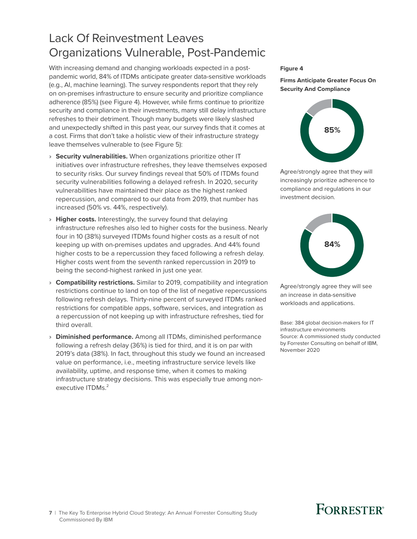## <span id="page-6-0"></span>Lack Of Reinvestment Leaves Organizations Vulnerable, Post-Pandemic

With increasing demand and changing workloads expected in a postpandemic world, 84% of ITDMs anticipate greater data-sensitive workloads (e.g., AI, machine learning). The survey respondents report that they rely on on-premises infrastructure to ensure security and prioritize compliance adherence (85%) (see Figure 4). However, while firms continue to prioritize security and compliance in their investments, many still delay infrastructure refreshes to their detriment. Though many budgets were likely slashed and unexpectedly shifted in this past year, our survey finds that it comes at a cost. Firms that don't take a holistic view of their infrastructure strategy leave themselves vulnerable to (see Figure 5):

- › **Security vulnerabilities.** When organizations prioritize other IT initiatives over infrastructure refreshes, they leave themselves exposed to security risks. Our survey findings reveal that 50% of ITDMs found security vulnerabilities following a delayed refresh. In 2020, security vulnerabilities have maintained their place as the highest ranked repercussion, and compared to our data from 2019, that number has increased (50% vs. 44%, respectively).
- › **Higher costs.** Interestingly, the survey found that delaying infrastructure refreshes also led to higher costs for the business. Nearly four in 10 (38%) surveyed ITDMs found higher costs as a result of not keeping up with on-premises updates and upgrades. And 44% found higher costs to be a repercussion they faced following a refresh delay. Higher costs went from the seventh ranked repercussion in 2019 to being the second-highest ranked in just one year.
- › **Compatibility restrictions.** Similar to 2019, compatibility and integration restrictions continue to land on top of the list of negative repercussions following refresh delays. Thirty-nine percent of surveyed ITDMs ranked restrictions for compatible apps, software, services, and integration as a repercussion of not keeping up with infrastructure refreshes, tied for third overall.
- › **Diminished performance.** Among all ITDMs, diminished performance following a refresh delay (36%) is tied for third, and it is on par with 2019's data (38%). In fact, throughout this study we found an increased value on performance, i.e., meeting infrastructure service levels like availability, uptime, and response time, when it comes to making infrastructure strategy decisions. This was especially true among nonexecutive ITDMs.<sup>2</sup>

#### **Figure 4**

#### **Firms Anticipate Greater Focus On Security And Compliance**



Agree/strongly agree that they will increasingly prioritize adherence to compliance and regulations in our investment decision.



Agree/strongly agree they will see an increase in data-sensitive workloads and applications.

Base: 384 global decision-makers for IT infrastructure environments Source: A commissioned study conducted by Forrester Consulting on behalf of IBM, November 2020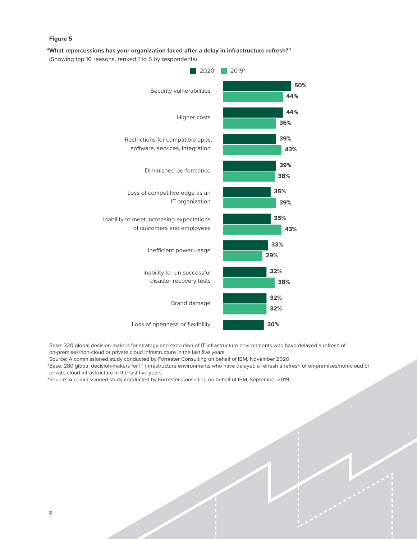#### **Figure 5**

#### **"What repercussions has your organization faced after a delay in infrastructure refresh?"**

(Showing top 10 reasons, ranked 1 to 5 by respondents)



Base: 320 global decision-makers for strategy and execution of IT infrastructure environments who have delayed a refresh of on-premises/non-cloud or private cloud infrastructure in the last five years

Source: A commissioned study conducted by Forrester Consulting on behalf of IBM, November 2020

\*Base: 280 global decision-makers for IT infrastructure environments who have delayed a refresh a refresh of on-premises/non-cloud or private cloud infrastructure in the last five years

\*Source: A commissioned study conducted by Forrester Consulting on behalf of IBM, September 2019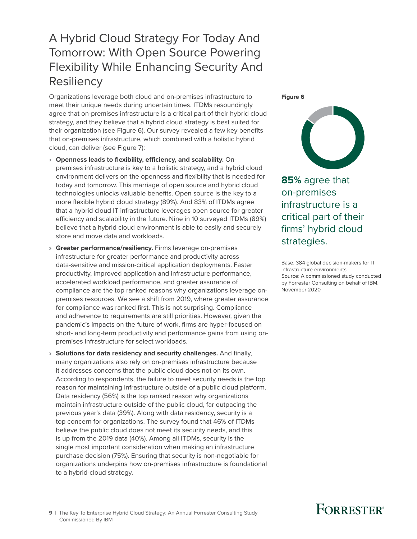### <span id="page-8-0"></span>A Hybrid Cloud Strategy For Today And Tomorrow: With Open Source Powering Flexibility While Enhancing Security And **Resiliency**

Organizations leverage both cloud and on-premises infrastructure to meet their unique needs during uncertain times. ITDMs resoundingly agree that on-premises infrastructure is a critical part of their hybrid cloud strategy, and they believe that a hybrid cloud strategy is best suited for their organization (see Figure 6). Our survey revealed a few key benefits that on-premises infrastructure, which combined with a holistic hybrid cloud, can deliver (see Figure 7):

- › **Openness leads to flexibility, efficiency, and scalability.** Onpremises infrastructure is key to a holistic strategy, and a hybrid cloud environment delivers on the openness and flexibility that is needed for today and tomorrow. This marriage of open source and hybrid cloud technologies unlocks valuable benefits. Open source is the key to a more flexible hybrid cloud strategy (89%). And 83% of ITDMs agree that a hybrid cloud IT infrastructure leverages open source for greater efficiency and scalability in the future. Nine in 10 surveyed ITDMs (89%) believe that a hybrid cloud environment is able to easily and securely store and move data and workloads.
- › **Greater performance/resiliency.** Firms leverage on-premises infrastructure for greater performance and productivity across data-sensitive and mission-critical application deployments. Faster productivity, improved application and infrastructure performance, accelerated workload performance, and greater assurance of compliance are the top ranked reasons why organizations leverage onpremises resources. We see a shift from 2019, where greater assurance for compliance was ranked first. This is not surprising. Compliance and adherence to requirements are still priorities. However, given the pandemic's impacts on the future of work, firms are hyper-focused on short- and long-term productivity and performance gains from using onpremises infrastructure for select workloads.
- › **Solutions for data residency and security challenges.** And finally, many organizations also rely on on-premises infrastructure because it addresses concerns that the public cloud does not on its own. According to respondents, the failure to meet security needs is the top reason for maintaining infrastructure outside of a public cloud platform. Data residency (56%) is the top ranked reason why organizations maintain infrastructure outside of the public cloud, far outpacing the previous year's data (39%). Along with data residency, security is a top concern for organizations. The survey found that 46% of ITDMs believe the public cloud does not meet its security needs, and this is up from the 2019 data (40%). Among all ITDMs, security is the single most important consideration when making an infrastructure purchase decision (75%). Ensuring that security is non-negotiable for organizations underpins how on-premises infrastructure is foundational to a hybrid-cloud strategy.

**Figure 6**



**85%** agree that on-premises infrastructure is a critical part of their firms' hybrid cloud strategies.

Base: 384 global decision-makers for IT infrastructure environments Source: A commissioned study conducted by Forrester Consulting on behalf of IBM, November 2020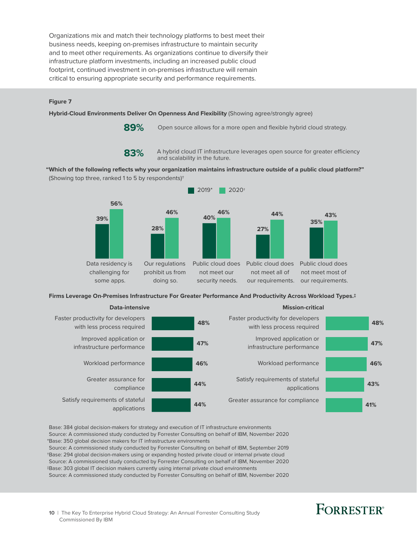Organizations mix and match their technology platforms to best meet their business needs, keeping on-premises infrastructure to maintain security and to meet other requirements. As organizations continue to diversify their infrastructure platform investments, including an increased public cloud footprint, continued investment in on-premises infrastructure will remain critical to ensuring appropriate security and performance requirements.

#### **Figure 7**

**Hybrid-Cloud Environments Deliver On Openness And Flexibility** (Showing agree/strongly agree)

**89%**

Open source allows for a more open and flexible hybrid cloud strategy.

### **83%**

A hybrid cloud IT infrastructure leverages open source for greater efficiency and scalability in the future.

**"Which of the following reflects why your organization maintains infrastructure outside of a public cloud platform?"**  (Showing top three, ranked 1 to 5 by respondents)†



**Firms Leverage On-Premises Infrastructure For Greater Performance And Productivity Across Workload Types.‡**



Base: 384 global decision-makers for strategy and execution of IT infrastructure environments Source: A commissioned study conducted by Forrester Consulting on behalf of IBM, November 2020 \*Base: 350 global decision makers for IT infrastructure environments

Source: A commissioned study conducted by Forrester Consulting on behalf of IBM, September 2019 †Base: 294 global decision-makers using or expanding hosted private cloud or internal private cloud Source: A commissioned study conducted by Forrester Consulting on behalf of IBM, November 2020 ‡Base: 303 global IT decision makers currently using internal private cloud environments

Source: A commissioned study conducted by Forrester Consulting on behalf of IBM, November 2020

## **FORRESTER**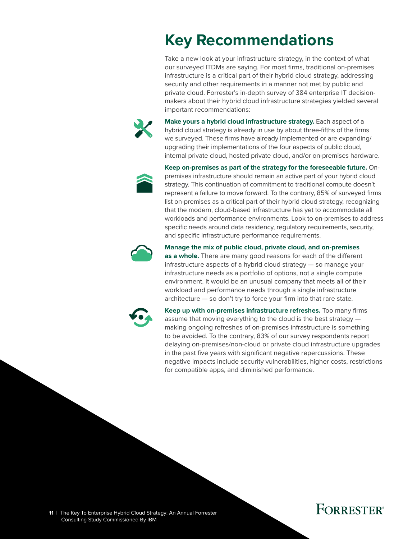# <span id="page-10-0"></span>**Key Recommendations**

Take a new look at your infrastructure strategy, in the context of what our surveyed ITDMs are saying. For most firms, traditional on-premises infrastructure is a critical part of their hybrid cloud strategy, addressing security and other requirements in a manner not met by public and private cloud. Forrester's in-depth survey of 384 enterprise IT decisionmakers about their hybrid cloud infrastructure strategies yielded several important recommendations:



**Make yours a hybrid cloud infrastructure strategy.** Each aspect of a hybrid cloud strategy is already in use by about three-fifths of the firms we surveyed. These firms have already implemented or are expanding/ upgrading their implementations of the four aspects of public cloud, internal private cloud, hosted private cloud, and/or on-premises hardware.



**Keep on-premises as part of the strategy for the foreseeable future.** Onpremises infrastructure should remain an active part of your hybrid cloud strategy. This continuation of commitment to traditional compute doesn't represent a failure to move forward. To the contrary, 85% of surveyed firms list on-premises as a critical part of their hybrid cloud strategy, recognizing that the modern, cloud-based infrastructure has yet to accommodate all workloads and performance environments. Look to on-premises to address specific needs around data residency, regulatory requirements, security, and specific infrastructure performance requirements.



#### **Manage the mix of public cloud, private cloud, and on-premises**

**as a whole.** There are many good reasons for each of the different infrastructure aspects of a hybrid cloud strategy — so manage your infrastructure needs as a portfolio of options, not a single compute environment. It would be an unusual company that meets all of their workload and performance needs through a single infrastructure architecture — so don't try to force your firm into that rare state.



**Keep up with on-premises infrastructure refreshes.** Too many firms assume that moving everything to the cloud is the best strategy making ongoing refreshes of on-premises infrastructure is something to be avoided. To the contrary, 83% of our survey respondents report delaying on-premises/non-cloud or private cloud infrastructure upgrades in the past five years with significant negative repercussions. These negative impacts include security vulnerabilities, higher costs, restrictions for compatible apps, and diminished performance.

## **FORRESTER®**

**11** | The Key To Enterprise Hybrid Cloud Strategy: An Annual Forrester Consulting Study Commissioned By IBM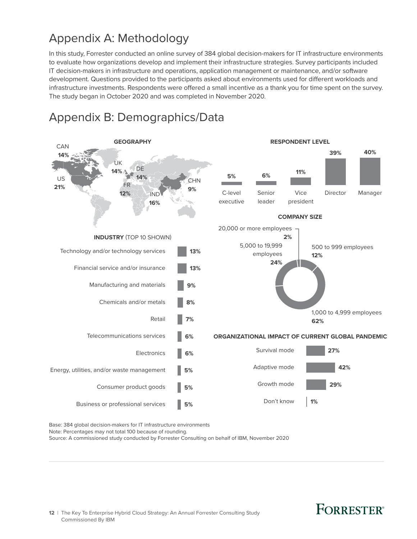## <span id="page-11-0"></span>Appendix A: Methodology

In this study, Forrester conducted an online survey of 384 global decision-makers for IT infrastructure environments to evaluate how organizations develop and implement their infrastructure strategies. Survey participants included IT decision-makers in infrastructure and operations, application management or maintenance, and/or software development. Questions provided to the participants asked about environments used for different workloads and infrastructure investments. Respondents were offered a small incentive as a thank you for time spent on the survey. The study began in October 2020 and was completed in November 2020.



### Appendix B: Demographics/Data

Base: 384 global decision-makers for IT infrastructure environments

Note: Percentages may not total 100 because of rounding.

Source: A commissioned study conducted by Forrester Consulting on behalf of IBM, November 2020

## **FORRESTER®**